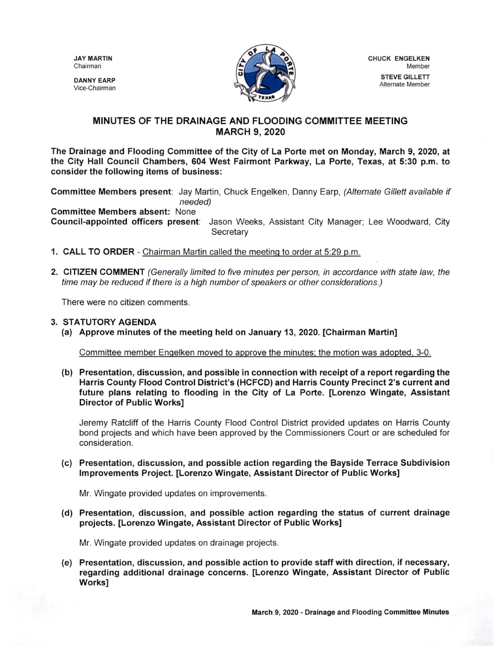DANNY EARP Vice- Chairman



## MINUTES OF THE DRAINAGE AND FLOODING COMMITTEE MEETING MARCH 9, 2020

The Drainage and Flooding Committee of the City of La Porte met on Monday, March 9, 2020, at the City Hall Council Chambers, 604 West Fairmont Parkway, La Porte, Texas, at 5:30 p.m. to consider the following items of business:

Committee Members present: Jay Martin, Chuck Engelken, Danny Earp, (Alternate Gillett available if needed)

Committee Members absent: None

Council- appointed officers present: Jason Weeks, Assistant City Manager; Lee Woodward, City **Secretary** 

- 1. CALL TO ORDER Chairman Martin called the meeting to order at 5:29 p.m.
- 2. CITIZEN COMMENT (Generally limited to five minutes per person, in accordance with state law, the time may be reduced if there is a high number of speakers or other considerations.)

There were no citizen comments.

## 3. STATUTORY AGENDA

a) Approve minutes of the meeting held on January 13, 2020. [ Chairman Martin]

Committee member Engelken moved to approve the minutes; the motion was adopted, 3-0.

b) Presentation, discussion, and possible in connection with receipt of a report regarding the Harris County Flood Control District's (HCFCD) and Harris County Precinct 2's current and future plans relating to flooding in the City of La Porte. [ Lorenzo Wingate, Assistant Director of Public Works]

Jeremy Ratcliff of the Harris County Flood Control District provided updates on Harris County bond projects and which have been approved by the Commissioners Court or are scheduled for consideration.

c) Presentation, discussion, and possible action regarding the Bayside Terrace Subdivision Improvements Project. [ Lorenzo Wingate, Assistant Director of Public Works]

Mr. Wingate provided updates on improvements.

d) Presentation, discussion, and possible action regarding the status of current drainage projects. [Lorenzo Wingate, Assistant Director of Public Works]

Mr. Wingate provided updates on drainage projects.

e) Presentation, discussion, and possible action to provide staff with direction, if necessary, regarding additional drainage concerns. [ Lorenzo Wingate, Assistant Director of Public Works]